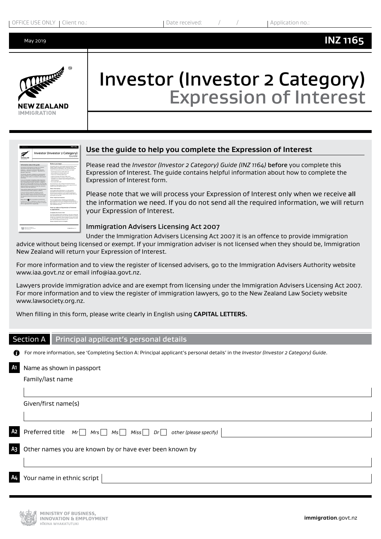May 2019



# Investor (Investor 2 Category) Expression of Interest

| <b>MEW 7FALAND</b>                                        | Investor (Investor 2 Category)                                                                                                                                                                                                                                                                                                                                                                                                        |
|-----------------------------------------------------------|---------------------------------------------------------------------------------------------------------------------------------------------------------------------------------------------------------------------------------------------------------------------------------------------------------------------------------------------------------------------------------------------------------------------------------------|
| <b>MARINE LITURN</b>                                      | Guide                                                                                                                                                                                                                                                                                                                                                                                                                                 |
| Information about this quide                              | Before you begin                                                                                                                                                                                                                                                                                                                                                                                                                      |
| The auroose of this quide is to help you complete.        | This quide reflex to other purdes and forest that contain-                                                                                                                                                                                                                                                                                                                                                                            |
| the farms for both the homitar thrustian 2                | health, English language, police certificate, fee and                                                                                                                                                                                                                                                                                                                                                                                 |
| Concert - Exemption of Internal (INZ 1981 and             | Immigration teur information, tele recommend you cell                                                                                                                                                                                                                                                                                                                                                                                 |
| the Investor (howston) Cabeaund - Application for         | course of these quides and forrest before you begin:                                                                                                                                                                                                                                                                                                                                                                                  |
| Residence (INZ KINS)                                      | · Mealth Engineerings Leafed (INZ 1217                                                                                                                                                                                                                                                                                                                                                                                                |
| The brunclar Emundar 2 Category) Is a gords-based         | . Several Medical Detailscale (INZ 1003)                                                                                                                                                                                                                                                                                                                                                                                              |
| system desponed to providing patential moograph on        | . Chesi X-su Certificate IINZ 10067                                                                                                                                                                                                                                                                                                                                                                                                   |
| the back of they ability to contribute to firm Zealand    | . English Language Information ENZ 10808                                                                                                                                                                                                                                                                                                                                                                                              |
| <b>Best MAKEAN</b>                                        | . Information on how to obtain a police certificate.                                                                                                                                                                                                                                                                                                                                                                                  |
| If you are interested in mograting to hew Zeatendas.      | building a state person in the state and a state to state at                                                                                                                                                                                                                                                                                                                                                                          |
| as investor under the bruestor thruestor 2 Category).     | estoreromate                                                                                                                                                                                                                                                                                                                                                                                                                          |
| then consolidas the huestar Devestor 2 Category! -        | - Fees Builde (BGF 1028).                                                                                                                                                                                                                                                                                                                                                                                                             |
| Exercision of Inderest ENT INFO form is your first step.  | You can esta up a capy of these documents from any                                                                                                                                                                                                                                                                                                                                                                                    |
| We will use the information you provide in this farm to   | Immorphism New Zealand office or print coolers from pur-                                                                                                                                                                                                                                                                                                                                                                              |
| assess whether you are then to meet the orderia for       | website www.investorion.covi.nz.                                                                                                                                                                                                                                                                                                                                                                                                      |
| residence under this testination.                         | Esisa information.                                                                                                                                                                                                                                                                                                                                                                                                                    |
| Those with the regnest total words for their Expressions. | If you supply fater information in oned, retexant.                                                                                                                                                                                                                                                                                                                                                                                    |
| of interest may be invited to apply for residence.        | Information from these forms, your Expression of                                                                                                                                                                                                                                                                                                                                                                                      |
| If you are products associate residence you will          | Interest may be relected or your residence assistantian                                                                                                                                                                                                                                                                                                                                                                               |
| have four months to do so. Stom the date of our           | may be declined. Please be aware that we may verify any                                                                                                                                                                                                                                                                                                                                                                               |
| Intland Invitation, Please note that you cannot apply.    | discussed cycle another.                                                                                                                                                                                                                                                                                                                                                                                                              |
| for residence under this instruction unless we bryte.     | Other important matters                                                                                                                                                                                                                                                                                                                                                                                                               |
| you be.                                                   | If you are approved for registerior you must retain                                                                                                                                                                                                                                                                                                                                                                                   |
| Board the ENK To refer be questions in both flows.        | vour investment funds in acceptable investment(s) in                                                                                                                                                                                                                                                                                                                                                                                  |
| A reference to '9DF or 'Association' reflect only to the  | New Zealand for flouryears, and spend at least lat days in                                                                                                                                                                                                                                                                                                                                                                            |
| neward section/question in the Expression of Interest     | New Zealand in each of the last three years of your four-                                                                                                                                                                                                                                                                                                                                                                             |
| flows or agencience flows recorditions.                   | year investment seried.                                                                                                                                                                                                                                                                                                                                                                                                               |
|                                                           | How to make an Expression of Interest<br>or application<br>Complete the form in full<br>You must complete all the questions in the flore unless the<br>fann specificaty directs you to another operators or section<br>Suffier on. If a question does not apply to you, mark it "AIE"<br>or Test Australian', If you don't answer a question, we may<br>send the incomplete form bock to you.<br>Please complete the farm in English. |

#### **Use the guide to help you complete the Expression of Interest**

Please read the *Investor (Investor 2 Category) Guide (INZ 1164)* before you complete this Expression of Interest. The guide contains helpful information about how to complete the Expression of Interest form.

Please note that we will process your Expression of Interest only when we receive all the information we need. If you do not send all the required information, we will return your Expression of Interest.

#### Immigration Advisers Licensing Act 2007

Under the Immigration Advisers Licensing Act 2007 it is an offence to provide immigration advice without being licensed or exempt. If your immigration adviser is not licensed when they should be, Immigration New Zealand will return your Expression of Interest.

For more information and to view the register of licensed advisers, go to the Immigration Advisers Authority website www.iaa.govt.nz or email info@iaa.govt.nz.

Lawyers provide immigration advice and are exempt from licensing under the Immigration Advisers Licensing Act 2007. For more information and to view the register of immigration lawyers, go to the New Zealand Law Society website www.lawsociety.org.nz.

When filling in this form, please write clearly in English using **CAPITAL LETTERS.**

Section A Principal applicant's personal details

For more information, see 'Completing Section A: Principal applicant's personal details' in the *Investor (Investor 2 Category) Guide*.

**A1** Name as shown in passport

Family/last name

Given/first name(s)

|    | A2 Preferred title $Mr \Box Mr \Box Ms \Box Mis \Box Dr \Box$ other (please specify) |
|----|--------------------------------------------------------------------------------------|
|    | As Other names you are known by or have ever been known by                           |
|    |                                                                                      |
| A4 | Your name in ethnic script                                                           |

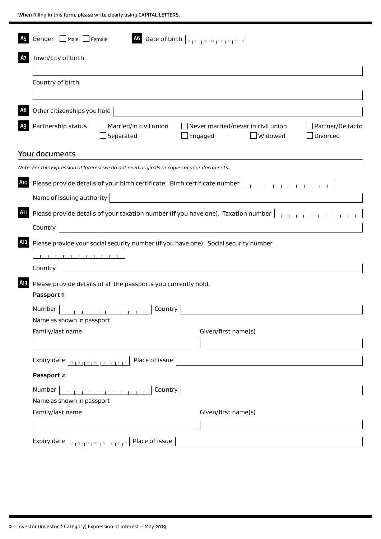| Gender Male Female<br><b>A5</b>                                                                                                                                   |                                                                                             | A6 Date of birth $\vert_{\text{DIPHMM} \times \text{IVIV}}$                          |                              |
|-------------------------------------------------------------------------------------------------------------------------------------------------------------------|---------------------------------------------------------------------------------------------|--------------------------------------------------------------------------------------|------------------------------|
| Town/city of birth<br><b>A7</b>                                                                                                                                   |                                                                                             |                                                                                      |                              |
| Country of birth                                                                                                                                                  |                                                                                             |                                                                                      |                              |
| Other citizenships you hold<br>A <sub>8</sub>                                                                                                                     |                                                                                             |                                                                                      |                              |
| Partnership status<br>A9                                                                                                                                          | Married/in civil union<br>Separated                                                         | Never married/never in civil union<br>Widowed<br>Engaged                             | Partner/De facto<br>Divorced |
| Your documents                                                                                                                                                    |                                                                                             |                                                                                      |                              |
|                                                                                                                                                                   | Note: For this Expression of Interest we do not need originals or copies of your documents. |                                                                                      |                              |
| <b>A10</b>                                                                                                                                                        | Please provide details of your birth certificate. Birth certificate number                  |                                                                                      |                              |
| Name of issuing authority                                                                                                                                         |                                                                                             |                                                                                      |                              |
|                                                                                                                                                                   |                                                                                             |                                                                                      |                              |
| A11                                                                                                                                                               |                                                                                             | Please provide details of your taxation number (if you have one). Taxation number    |                              |
| Country                                                                                                                                                           |                                                                                             |                                                                                      |                              |
| A12<br>Country                                                                                                                                                    |                                                                                             | Please provide your social security number (if you have one). Social security number |                              |
| A13                                                                                                                                                               | Please provide details of all the passports you currently hold.                             |                                                                                      |                              |
| Passport 1                                                                                                                                                        |                                                                                             |                                                                                      |                              |
|                                                                                                                                                                   |                                                                                             |                                                                                      |                              |
| Number<br>Name as shown in passport                                                                                                                               | Country                                                                                     |                                                                                      |                              |
| Family/last name                                                                                                                                                  |                                                                                             | Given/first name(s)                                                                  |                              |
|                                                                                                                                                                   |                                                                                             |                                                                                      |                              |
|                                                                                                                                                                   | Place of issue                                                                              |                                                                                      |                              |
| Passport 2                                                                                                                                                        |                                                                                             |                                                                                      |                              |
| Number<br>Name as shown in passport                                                                                                                               | $\begin{smallmatrix}&&1\\1&1&1&1&1&1&1&1&1&1&1\end{smallmatrix}$<br>Country                 |                                                                                      |                              |
| Family/last name                                                                                                                                                  |                                                                                             | Given/first name(s)                                                                  |                              |
|                                                                                                                                                                   |                                                                                             |                                                                                      |                              |
| Expiry date $\left[\begin{array}{c} 0 & 0 \end{array}\right]$ $\left[\begin{array}{c} 0 & 0 \end{array}\right]$ $\left[\begin{array}{c} 0 & 0 \end{array}\right]$ | Place of issue                                                                              |                                                                                      |                              |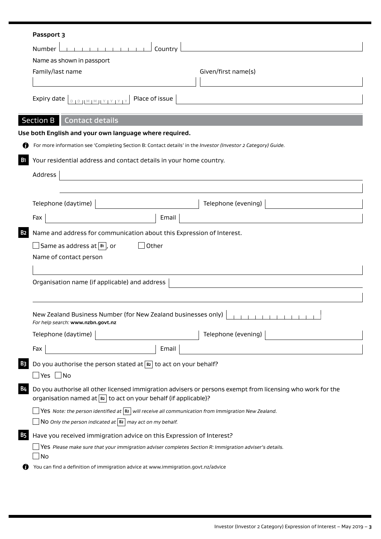|                       | Passport 3                                                                                                                                                                        |
|-----------------------|-----------------------------------------------------------------------------------------------------------------------------------------------------------------------------------|
|                       | Country<br><b>Number</b>                                                                                                                                                          |
|                       | Name as shown in passport                                                                                                                                                         |
|                       | Family/last name<br>Given/first name(s)                                                                                                                                           |
|                       | Place of issue<br>Expiry date                                                                                                                                                     |
|                       | Section B<br><b>Contact details</b>                                                                                                                                               |
|                       | Use both English and your own language where required.                                                                                                                            |
| n                     | For more information see 'Completing Section B: Contact details' in the Investor (Investor 2 Category) Guide.                                                                     |
| <b>B</b> 1            | Your residential address and contact details in your home country.                                                                                                                |
|                       | Address                                                                                                                                                                           |
|                       |                                                                                                                                                                                   |
|                       | Telephone (evening)<br>Telephone (daytime)                                                                                                                                        |
|                       | Fax<br>Email                                                                                                                                                                      |
| <b>B2</b>             | Name and address for communication about this Expression of Interest.                                                                                                             |
|                       | Same as address at $ {\bf B} $ , or<br>Other                                                                                                                                      |
|                       | Name of contact person                                                                                                                                                            |
|                       |                                                                                                                                                                                   |
|                       | Organisation name (if applicable) and address                                                                                                                                     |
|                       |                                                                                                                                                                                   |
|                       | New Zealand Business Number (for New Zealand businesses only)<br>For help search: www.nzbn.govt.nz                                                                                |
|                       | Telephone (evening)<br>Telephone (daytime)                                                                                                                                        |
|                       | Fax<br>Email                                                                                                                                                                      |
| <b>B3</b>             | Do you authorise the person stated at $B2$ to act on your behalf?                                                                                                                 |
|                       | $\Box$ Yes $\Box$ No                                                                                                                                                              |
| <b>B4</b>             | Do you authorise all other licensed immigration advisers or persons exempt from licensing who work for the<br>organisation named at $ B2 $ to act on your behalf (if applicable)? |
|                       | Yes Note: the person identified at $ \mathbf{B2} $ will receive all communication from Immigration New Zealand.<br>NO Only the person indicated at $ B2 $ may act on my behalf.   |
| <b>B</b> <sub>5</sub> | Have you received immigration advice on this Expression of Interest?                                                                                                              |
|                       | Yes Please make sure that your immigration adviser completes Section R: Immigration adviser's details.<br>No                                                                      |
|                       | You can find a definition of immigration advice at www.immigration.govt.nz/advice                                                                                                 |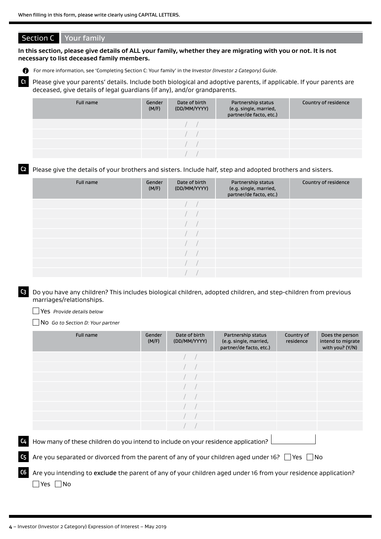#### Section C Your family

**In this section, please give details of ALL your family, whether they are migrating with you or not. It is not necessary to list deceased family members.**

For more information, see 'Completing Section C: Your family' in the *Investor (Investor 2 Category) Guide*.

**C1** Please give your parents' details. Include both biological and adoptive parents, if applicable. If your parents are deceased, give details of legal guardians (if any), and/or grandparents.

| Full name | Gender<br>(M/F) | Date of birth<br>(DD/MM/YYYY) | Partnership status<br>(e.g. single, married,<br>partner/de facto, etc.) | Country of residence |
|-----------|-----------------|-------------------------------|-------------------------------------------------------------------------|----------------------|
|           |                 |                               |                                                                         |                      |
|           |                 |                               |                                                                         |                      |
|           |                 |                               |                                                                         |                      |
|           |                 |                               |                                                                         |                      |

**C2** Please give the details of your brothers and sisters. Include half, step and adopted brothers and sisters.

| Full name | Gender<br>(M/F) | Date of birth<br>(DD/MM/YYYY) | Partnership status<br>(e.g. single, married,<br>partner/de facto, etc.) | Country of residence |
|-----------|-----------------|-------------------------------|-------------------------------------------------------------------------|----------------------|
|           |                 |                               |                                                                         |                      |
|           |                 |                               |                                                                         |                      |
|           |                 |                               |                                                                         |                      |
|           |                 |                               |                                                                         |                      |
|           |                 |                               |                                                                         |                      |
|           |                 |                               |                                                                         |                      |
|           |                 |                               |                                                                         |                      |
|           |                 |                               |                                                                         |                      |

**C3** Do you have any children? This includes biological children, adopted children, and step-children from previous marriages/relationships.

Yes *Provide details below*

No *Go to Section D: Your partner*

|    | <b>Full name</b>                                                                                               | Gender<br>(M/F) | Date of birth<br>(DD/MM/YYYY) | Partnership status<br>(e.g. single, married,<br>partner/de facto, etc.) | Country of<br>residence | Does the person<br>intend to migrate<br>with you? (Y/N) |  |
|----|----------------------------------------------------------------------------------------------------------------|-----------------|-------------------------------|-------------------------------------------------------------------------|-------------------------|---------------------------------------------------------|--|
|    |                                                                                                                |                 |                               |                                                                         |                         |                                                         |  |
|    |                                                                                                                |                 |                               |                                                                         |                         |                                                         |  |
|    |                                                                                                                |                 |                               |                                                                         |                         |                                                         |  |
|    |                                                                                                                |                 |                               |                                                                         |                         |                                                         |  |
|    |                                                                                                                |                 |                               |                                                                         |                         |                                                         |  |
|    |                                                                                                                |                 |                               |                                                                         |                         |                                                         |  |
|    |                                                                                                                |                 |                               |                                                                         |                         |                                                         |  |
|    |                                                                                                                |                 |                               |                                                                         |                         |                                                         |  |
| C4 | How many of these children do you intend to include on your residence application?                             |                 |                               |                                                                         |                         |                                                         |  |
| C5 | Are you separated or divorced from the parent of any of your children aged under 16? $\Box$ Yes $\Box$ No      |                 |                               |                                                                         |                         |                                                         |  |
| C6 | Are you intending to exclude the parent of any of your children aged under 16 from your residence application? |                 |                               |                                                                         |                         |                                                         |  |

 $\Box$ Yes  $\Box$ No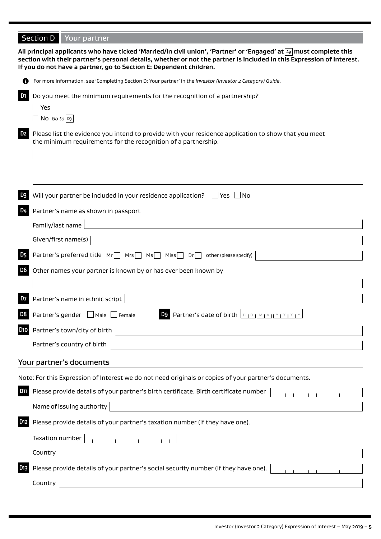# Section D Your partner **All principal applicants who have ticked 'Married/in civil union', 'Partner' or 'Engaged' at A9 must complete this section with their partner's personal details, whether or not the partner is included in this Expression of Interest. If you do not have a partner, go to Section E: Dependent children.**

|                | For more information, see 'Completing Section D: Your partner' in the Investor (Investor 2 Category) Guide.                                                            |
|----------------|------------------------------------------------------------------------------------------------------------------------------------------------------------------------|
| D1             | Do you meet the minimum requirements for the recognition of a partnership?                                                                                             |
|                | Yes                                                                                                                                                                    |
|                | $\Box$ No Go to D3                                                                                                                                                     |
| D <sub>2</sub> | Please list the evidence you intend to provide with your residence application to show that you meet<br>the minimum requirements for the recognition of a partnership. |
|                |                                                                                                                                                                        |
|                |                                                                                                                                                                        |
|                |                                                                                                                                                                        |
|                | Will your partner be included in your residence application? $\Box$ Yes $\Box$ No                                                                                      |
| D4             | Partner's name as shown in passport                                                                                                                                    |
|                | Family/last name                                                                                                                                                       |
|                | Given/first name(s)                                                                                                                                                    |
|                | Partner's preferred title $Mr \Box mrs \Box m s \Box miss \Box pr \Box$<br>other (please specify)                                                                      |
| D <sub>6</sub> | Other names your partner is known by or has ever been known by                                                                                                         |
|                |                                                                                                                                                                        |
| D7             | Partner's name in ethnic script                                                                                                                                        |
| D8             | <b>D9</b> Partner's date of birth <b>DEDIMEMILY PY PY</b><br>Partner's gender Male Female                                                                              |
| <b>D10</b>     | Partner's town/city of birth                                                                                                                                           |
|                | Partner's country of birth                                                                                                                                             |
|                | Your partner's documents                                                                                                                                               |
|                | Note: For this Expression of Interest we do not need originals or copies of your partner's documents.                                                                  |
| D11            | Please provide details of your partner's birth certificate. Birth certificate number<br>$\begin{array}{cccccccccccccc} 1 & 1 & 1 & 1 & 1 & 1 & 1 & 1 & 1 \end{array}$  |
|                | Name of issuing authority                                                                                                                                              |
| D12            | Please provide details of your partner's taxation number (if they have one).                                                                                           |
|                | .<br>Taxation number                                                                                                                                                   |
|                | Country                                                                                                                                                                |
| D13            | Please provide details of your partner's social security number (if they have one).                                                                                    |
|                | Country                                                                                                                                                                |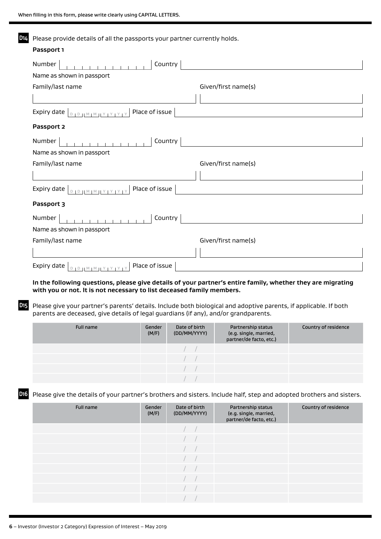| Please provide details of all the passports your partner currently holds. |                     |  |  |  |  |
|---------------------------------------------------------------------------|---------------------|--|--|--|--|
| Passport 1                                                                |                     |  |  |  |  |
| Country<br>Number                                                         |                     |  |  |  |  |
| Name as shown in passport                                                 |                     |  |  |  |  |
| Family/last name                                                          | Given/first name(s) |  |  |  |  |
|                                                                           |                     |  |  |  |  |
| Place of issue<br>Expiry date  <br>$D + D - 1 M + M + Y + Y + Y + Y$      |                     |  |  |  |  |
| Passport 2                                                                |                     |  |  |  |  |
| Country<br>Number                                                         |                     |  |  |  |  |
| Name as shown in passport                                                 |                     |  |  |  |  |
| Family/last name                                                          | Given/first name(s) |  |  |  |  |
|                                                                           |                     |  |  |  |  |
| Place of issue<br>Expiry date $ _{D+D+ M+ M+ Y+ Y+Y+Y}$                   |                     |  |  |  |  |
| Passport 3                                                                |                     |  |  |  |  |
| Country<br>Number                                                         |                     |  |  |  |  |
| Name as shown in passport                                                 |                     |  |  |  |  |
| Family/last name                                                          | Given/first name(s) |  |  |  |  |
|                                                                           |                     |  |  |  |  |
| Place of issue<br>Expiry date                                             |                     |  |  |  |  |

**In the following questions, please give details of your partner's entire family, whether they are migrating with you or not. It is not necessary to list deceased family members.**

**D15** Please give your partner's parents' details. Include both biological and adoptive parents, if applicable. If both parents are deceased, give details of legal guardians (if any), and/or grandparents.

| Full name | Gender<br>(M/F) | Date of birth<br>(DD/MM/YYYY) | Partnership status<br>(e.g. single, married,<br>partner/de facto, etc.) | Country of residence |
|-----------|-----------------|-------------------------------|-------------------------------------------------------------------------|----------------------|
|           |                 |                               |                                                                         |                      |
|           |                 |                               |                                                                         |                      |
|           |                 |                               |                                                                         |                      |
|           |                 |                               |                                                                         |                      |

**D16** Please give the details of your partner's brothers and sisters. Include half, step and adopted brothers and sisters.

| Full name | Gender<br>(M/F) | Date of birth<br>(DD/MM/YYYY) | Partnership status<br>(e.g. single, married,<br>partner/de facto, etc.) | Country of residence |
|-----------|-----------------|-------------------------------|-------------------------------------------------------------------------|----------------------|
|           |                 |                               |                                                                         |                      |
|           |                 |                               |                                                                         |                      |
|           |                 |                               |                                                                         |                      |
|           |                 |                               |                                                                         |                      |
|           |                 |                               |                                                                         |                      |
|           |                 |                               |                                                                         |                      |
|           |                 |                               |                                                                         |                      |
|           |                 |                               |                                                                         |                      |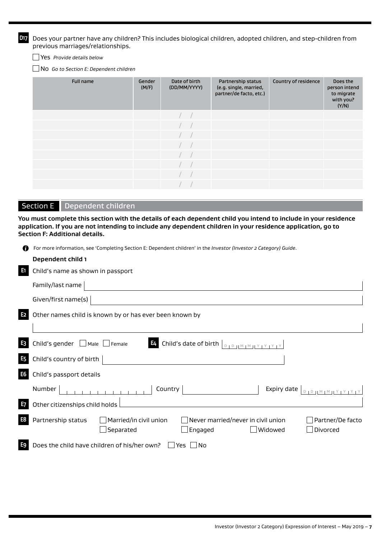**D17** Does your partner have any children? This includes biological children, adopted children, and step-children from previous marriages/relationships.

Yes *Provide details below*

No *Go to Section E: Dependent children*

| Full name | Gender<br>(M/F) | Date of birth<br>(DD/MM/YYYY) | Partnership status<br>(e.g. single, married,<br>partner/de facto, etc.) | Country of residence | Does the<br>person intend<br>to migrate<br>with you?<br>(Y/N) |
|-----------|-----------------|-------------------------------|-------------------------------------------------------------------------|----------------------|---------------------------------------------------------------|
|           |                 |                               |                                                                         |                      |                                                               |
|           |                 |                               |                                                                         |                      |                                                               |
|           |                 |                               |                                                                         |                      |                                                               |
|           |                 |                               |                                                                         |                      |                                                               |
|           |                 |                               |                                                                         |                      |                                                               |
|           |                 |                               |                                                                         |                      |                                                               |
|           |                 |                               |                                                                         |                      |                                                               |
|           |                 |                               |                                                                         |                      |                                                               |

# Section E Dependent children

**You must complete this section with the details of each dependent child you intend to include in your residence application. If you are not intending to include any dependent children in your residence application, go to Section F: Additional details.**

| n              | For more information, see 'Completing Section E: Dependent children' in the Investor (Investor 2 Category) Guide.                                                                                                                     |
|----------------|---------------------------------------------------------------------------------------------------------------------------------------------------------------------------------------------------------------------------------------|
|                | Dependent child 1                                                                                                                                                                                                                     |
| LE1            | Child's name as shown in passport                                                                                                                                                                                                     |
|                | Family/last name                                                                                                                                                                                                                      |
|                | Given/first name(s)                                                                                                                                                                                                                   |
| E <sub>2</sub> | Other names child is known by or has ever been known by                                                                                                                                                                               |
|                |                                                                                                                                                                                                                                       |
| E <sub>3</sub> | Child's gender $\Box$ Male $\Box$ Female<br><b>E4</b> Child's date of birth $\left  \begin{smallmatrix} 0 & 0 & 0 \ 0 & 1 & 0 \end{smallmatrix} \right $ $\left  \begin{smallmatrix} 0 & 0 & 0 \ 0 & 1 & 0 \end{smallmatrix} \right $ |
| <b>E5</b>      | Child's country of birth                                                                                                                                                                                                              |
| E <sub>6</sub> | Child's passport details                                                                                                                                                                                                              |
|                | Country<br>$D + D + M + M + Y + Y + Y + Y$<br>Number<br>Expiry date                                                                                                                                                                   |
| E <sub>7</sub> | Other citizenships child holds                                                                                                                                                                                                        |
| E8             | Partnership status<br>$\Box$ Married/in civil union<br>Never married/never in civil union<br>Partner/De facto<br>Separated<br>Widowed<br>Divorced<br>Engaged                                                                          |
| E9             | Does the child have children of his/her own? $\Box$ Yes $\Box$ No                                                                                                                                                                     |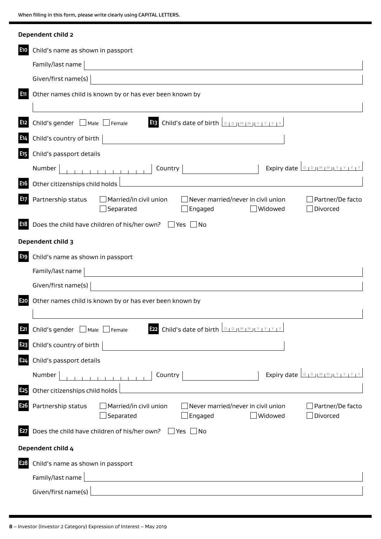|                  | Dependent child 2                                                                                                                                                   |
|------------------|---------------------------------------------------------------------------------------------------------------------------------------------------------------------|
| E <sub>10</sub>  | Child's name as shown in passport                                                                                                                                   |
|                  | Family/last name                                                                                                                                                    |
|                  | Given/first name(s)                                                                                                                                                 |
| Em               | Other names child is known by or has ever been known by                                                                                                             |
| E12              | <b>E13</b> Child's date of birth <b>DED JM MILY PY PY</b><br>Child's gender $\Box$ Male $\Box$ Female                                                               |
| E14              | Child's country of birth                                                                                                                                            |
| E <sub>15</sub>  | Child's passport details                                                                                                                                            |
| E <sub>16</sub>  | Expiry date <b>DIDIMMIY</b><br>Country<br>Number<br>Other citizenships child holds                                                                                  |
| E17              | Partnership status<br>Married/in civil union<br>Never married/never in civil union<br>Partner/De facto<br>Separated<br>Engaged<br>Widowed<br>Divorced               |
| E18              | Does the child have children of his/her own? $\Box$ Yes  <br>$\blacksquare$ No                                                                                      |
|                  | Dependent child 3                                                                                                                                                   |
| E19              | Child's name as shown in passport                                                                                                                                   |
|                  | Family/last name                                                                                                                                                    |
|                  | Given/first name(s)                                                                                                                                                 |
| E <sub>20</sub>  | Other names child is known by or has ever been known by                                                                                                             |
| E21              | <b>E22</b> Child's date of birth <b>DIDIMMIY</b><br>Child's gender <sub>Male</sub> Female                                                                           |
| E <sub>2</sub> 3 | Child's country of birth                                                                                                                                            |
| E <sub>24</sub>  | Child's passport details                                                                                                                                            |
|                  | Expiry date $\Box$<br>Country<br>Number                                                                                                                             |
| E <sub>25</sub>  | Other citizenships child holds                                                                                                                                      |
| E26              | Partnership status<br>$\Box$ Married/in civil union<br>$\Box$ Never married/never in civil union<br>Partner/De facto<br>Separated<br>Engaged<br>Widowed<br>Divorced |
| E27              | Does the child have children of his/her own? $\Box$ Yes $\Box$ No                                                                                                   |
|                  | Dependent child 4                                                                                                                                                   |
| E28              | Child's name as shown in passport                                                                                                                                   |
|                  | Family/last name                                                                                                                                                    |
|                  | Given/first name(s)<br><u>and the state of the state of the state of the state of the state of the state of the state of the state of th</u>                        |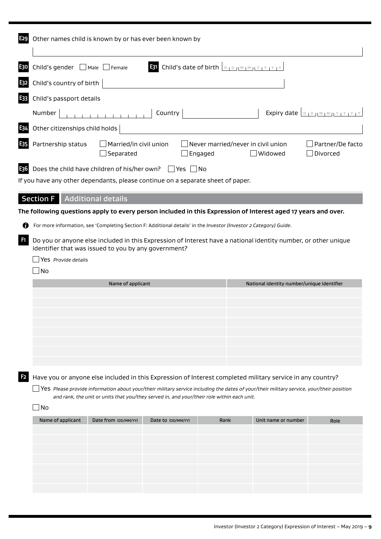|                | Other names child is known by or has ever been known by                                                                                                                                       |  |  |  |  |  |
|----------------|-----------------------------------------------------------------------------------------------------------------------------------------------------------------------------------------------|--|--|--|--|--|
| E30            | <b>E31</b> Child's date of birth $\boxed{D + D +  M + M + Y  + Y + Y + Y}$<br>Child's gender $\Box$ Male $\Box$ Female                                                                        |  |  |  |  |  |
| L32            | Child's country of birth                                                                                                                                                                      |  |  |  |  |  |
| E33            | Child's passport details                                                                                                                                                                      |  |  |  |  |  |
|                | .<br>Expiry date <b>DIDIMMIY</b><br>Number<br>Country                                                                                                                                         |  |  |  |  |  |
| E34            | Other citizenships child holds                                                                                                                                                                |  |  |  |  |  |
| IE35           | Partnership status<br>Married/in civil union<br>Never married/never in civil union<br>Partner/De facto<br>Separated<br>Widowed<br>Divorced<br>Engaged                                         |  |  |  |  |  |
| E36            | Does the child have children of his/her own? $\Box$ Yes $\Box$ No<br>If you have any other dependants, please continue on a separate sheet of paper.                                          |  |  |  |  |  |
|                | <b>Section F</b> Additional details                                                                                                                                                           |  |  |  |  |  |
|                | The following questions apply to every person included in this Expression of Interest aged 17 years and over.                                                                                 |  |  |  |  |  |
| Ø              | For more information, see 'Completing Section F: Additional details' in the Investor (Investor 2 Category) Guide.                                                                             |  |  |  |  |  |
| F1             | Do you or anyone else included in this Expression of Interest have a national identity number, or other unique<br>identifier that was issued to you by any government?<br>Yes Provide details |  |  |  |  |  |
|                | No                                                                                                                                                                                            |  |  |  |  |  |
|                | National identity number/unique identifier<br>Name of applicant                                                                                                                               |  |  |  |  |  |
|                |                                                                                                                                                                                               |  |  |  |  |  |
|                |                                                                                                                                                                                               |  |  |  |  |  |
|                |                                                                                                                                                                                               |  |  |  |  |  |
|                |                                                                                                                                                                                               |  |  |  |  |  |
|                |                                                                                                                                                                                               |  |  |  |  |  |
|                |                                                                                                                                                                                               |  |  |  |  |  |
| F <sub>2</sub> | Have you or anyone else included in this Expression of Interest completed military service in any country?                                                                                    |  |  |  |  |  |
|                | $\Box$ Yes Please provide information about your/their military service including the dates of your/their military service, your/their position                                               |  |  |  |  |  |
|                | and rank, the unit or units that you/they served in, and your/their role within each unit.<br>No                                                                                              |  |  |  |  |  |
|                | Date from (DD/MM/YY)<br>Unit name or number<br>Name of applicant<br>Date to (DD/MM/YY)<br>Rank<br>Role                                                                                        |  |  |  |  |  |
|                |                                                                                                                                                                                               |  |  |  |  |  |
|                |                                                                                                                                                                                               |  |  |  |  |  |
|                |                                                                                                                                                                                               |  |  |  |  |  |
|                |                                                                                                                                                                                               |  |  |  |  |  |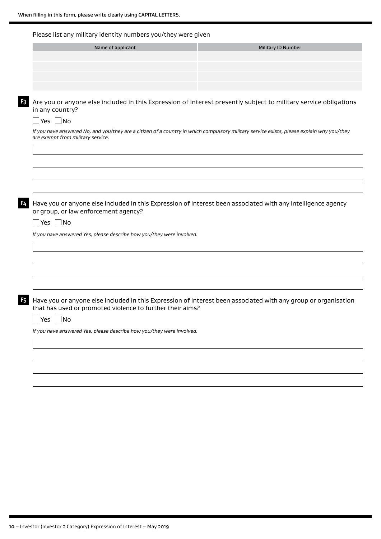#### Please list any military identity numbers you/they were given

| Name of applicant | <b>Military ID Number</b> |
|-------------------|---------------------------|
|                   |                           |
|                   |                           |
|                   |                           |
|                   |                           |

**F3** Are you or anyone else included in this Expression of Interest presently subject to military service obligations in any country?

#### $\Box$  Yes  $\Box$  No

*If you have answered No, and you/they are a citizen of a country in which compulsory military service exists, please explain why you/they are exempt from military service.*

**F4** Have you or anyone else included in this Expression of Interest been associated with any intelligence agency or group, or law enforcement agency?

 $\Box$ Yes  $\Box$ No

*If you have answered Yes, please describe how you/they were involved.*

**F5** Have you or anyone else included in this Expression of Interest been associated with any group or organisation that has used or promoted violence to further their aims?

 $\Box$ Yes  $\Box$ No

*If you have answered Yes, please describe how you/they were involved.*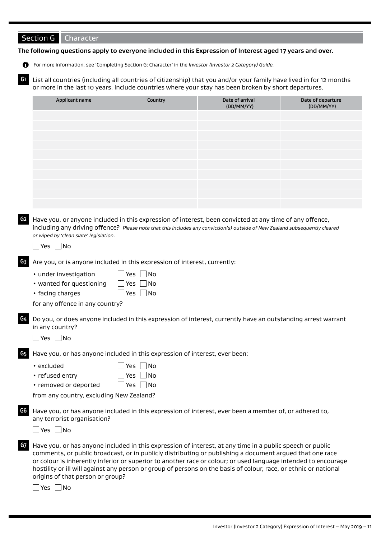# Section G Character

#### **The following questions apply to everyone included in this Expression of Interest aged 17 years and over.**

For more information, see 'Completing Section G: Character' in the *Investor (Investor 2 Category) Guide.*

**G1** List all countries (including all countries of citizenship) that you and/or your family have lived in for 12 months or more in the last 10 years. Include countries where your stay has been broken by short departures.

| Applicant name | Country | Date of arrival<br>(DD/MM/YY) | Date of departure<br>(DD/MM/YY) |
|----------------|---------|-------------------------------|---------------------------------|
|                |         |                               |                                 |
|                |         |                               |                                 |
|                |         |                               |                                 |
|                |         |                               |                                 |
|                |         |                               |                                 |
|                |         |                               |                                 |
|                |         |                               |                                 |
|                |         |                               |                                 |
|                |         |                               |                                 |
|                |         |                               |                                 |

**G2** Have you, or anyone included in this expression of interest, been convicted at any time of any offence, including any driving offence? *Please note that this includes any conviction(s) outside of New Zealand subsequently cleared or wiped by 'clean slate' legislation.*

 $\Box$ Yes  $\Box$ No

- **G3** Are you, or is anyone included in this expression of interest, currently:
	- under investigation  $\Box$  Yes  $\Box$  No
	- wanted for questioning  $\Box$  Yes  $\Box$  No
	- facing charges  $\Box$  Yes  $\Box$  No

for any offence in any country?

**G4** Do you, or does anyone included in this expression of interest, currently have an outstanding arrest warrant in any country?

 $\Box$  Yes  $\Box$  No

**G5** Have you, or has anyone included in this expression of interest, ever been:

| $\cdot$ excluded | $\Box$ Yes $\Box$ No |
|------------------|----------------------|
| • refused entry  | $\Box$ Yes $\Box$ No |

• removed or deported  $\Box$  Yes  $\Box$  No

from any country, excluding New Zealand?

**G6** Have you, or has anyone included in this expression of interest, ever been a member of, or adhered to, any terrorist organisation?

 $\Box$  Yes  $\Box$  No

**G7** Have you, or has anyone included in this expression of interest, at any time in a public speech or public comments, or public broadcast, or in publicly distributing or publishing a document argued that one race or colour is inherently inferior or superior to another race or colour; or used language intended to encourage hostility or ill will against any person or group of persons on the basis of colour, race, or ethnic or national origins of that person or group?

 $\Box$  Yes  $\Box$  No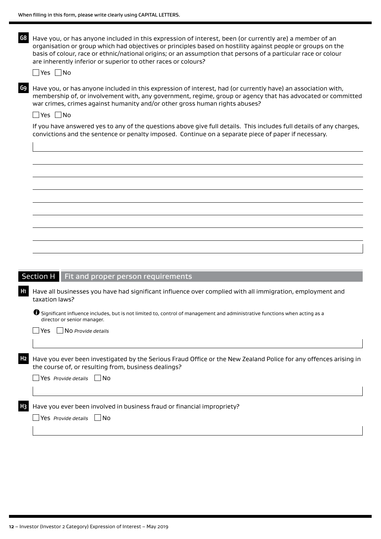|    | When filling in this form, please write clearly using CAPITAL LETTERS.                                                                                                                                                                                                                                                                                                                                                             |
|----|------------------------------------------------------------------------------------------------------------------------------------------------------------------------------------------------------------------------------------------------------------------------------------------------------------------------------------------------------------------------------------------------------------------------------------|
| G8 | Have you, or has anyone included in this expression of interest, been (or currently are) a member of an<br>organisation or group which had objectives or principles based on hostility against people or groups on the<br>basis of colour, race or ethnic/national origins; or an assumption that persons of a particular race or colour<br>are inherently inferior or superior to other races or colours?<br>$\Box$ Yes $\Box$ No |
| G9 | Have you, or has anyone included in this expression of interest, had (or currently have) an association with,<br>membership of, or involvement with, any government, regime, group or agency that has advocated or committed<br>war crimes, crimes against humanity and/or other gross human rights abuses?<br>$\exists$ Yes $\Box$ No                                                                                             |
|    | If you have answered yes to any of the questions above give full details. This includes full details of any charges,<br>convictions and the sentence or penalty imposed. Continue on a separate piece of paper if necessary.                                                                                                                                                                                                       |
|    |                                                                                                                                                                                                                                                                                                                                                                                                                                    |
|    |                                                                                                                                                                                                                                                                                                                                                                                                                                    |
|    |                                                                                                                                                                                                                                                                                                                                                                                                                                    |
|    |                                                                                                                                                                                                                                                                                                                                                                                                                                    |
|    |                                                                                                                                                                                                                                                                                                                                                                                                                                    |
|    |                                                                                                                                                                                                                                                                                                                                                                                                                                    |
|    |                                                                                                                                                                                                                                                                                                                                                                                                                                    |
|    |                                                                                                                                                                                                                                                                                                                                                                                                                                    |
|    | Section H<br>Fit and proper person requirements                                                                                                                                                                                                                                                                                                                                                                                    |
| H  | Have all businesses you have had significant influence over complied with all immigration, employment and<br>taxation laws?                                                                                                                                                                                                                                                                                                        |
|    | $\bullet$ Significant influence includes, but is not limited to, control of management and administrative functions when acting as a<br>director or senior manager.                                                                                                                                                                                                                                                                |
|    | $\Box$ NO Provide details<br>Yes.                                                                                                                                                                                                                                                                                                                                                                                                  |
|    |                                                                                                                                                                                                                                                                                                                                                                                                                                    |

**H2** Have you ever been investigated by the Serious Fraud Office or the New Zealand Police for any offences arising in the course of, or resulting from, business dealings?

|  |  | $\Box$ Yes Provide details $\Box$ No |  |  |
|--|--|--------------------------------------|--|--|
|--|--|--------------------------------------|--|--|

**H3** Have you ever been involved in business fraud or financial impropriety?

Yes *Provide details* No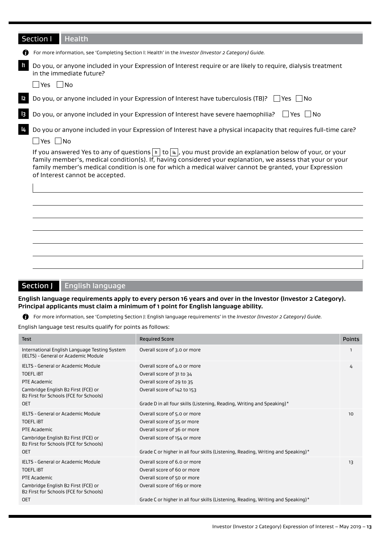|                | Section I<br><b>Health</b>                                                                                                                                                                                                                                                                                                                                                                                   |
|----------------|--------------------------------------------------------------------------------------------------------------------------------------------------------------------------------------------------------------------------------------------------------------------------------------------------------------------------------------------------------------------------------------------------------------|
| 69             | For more information, see 'Completing Section I: Health' in the Investor (Investor 2 Category) Guide.                                                                                                                                                                                                                                                                                                        |
| $\mathbf{h}$   | Do you, or anyone included in your Expression of Interest require or are likely to require, dialysis treatment<br>in the immediate future?                                                                                                                                                                                                                                                                   |
|                | Yes    No                                                                                                                                                                                                                                                                                                                                                                                                    |
| $\vert$ 2      | Do you, or anyone included in your Expression of Interest have tuberculosis (TB)?<br>    Yes     No                                                                                                                                                                                                                                                                                                          |
| $\overline{3}$ | Do you, or anyone included in your Expression of Interest have severe haemophilia? $\Box$ Yes $\Box$ No                                                                                                                                                                                                                                                                                                      |
| $\vert$ 4      | Do you or anyone included in your Expression of Interest have a physical incapacity that requires full-time care?<br>$\Box$ Yes $\Box$ No                                                                                                                                                                                                                                                                    |
|                | If you answered Yes to any of questions $\lceil n \rceil$ to $\lceil \frac{u}{4} \rceil$ , you must provide an explanation below of your, or your<br>family member's, medical condition(s). If, having considered your explanation, we assess that your or your<br>family member's medical condition is one for which a medical waiver cannot be granted, your Expression<br>of Interest cannot be accepted. |
|                |                                                                                                                                                                                                                                                                                                                                                                                                              |
|                |                                                                                                                                                                                                                                                                                                                                                                                                              |
|                |                                                                                                                                                                                                                                                                                                                                                                                                              |
|                |                                                                                                                                                                                                                                                                                                                                                                                                              |
|                |                                                                                                                                                                                                                                                                                                                                                                                                              |
|                |                                                                                                                                                                                                                                                                                                                                                                                                              |

# Section J English language

**English language requirements apply to every person 16 years and over in the Investor (Investor 2 Category). Principal applicants must claim a minimum of 1 point for English language ability.**

For more information, see 'Completing Section J: English language requirements' in the *Investor (Investor 2 Category) Guide.*

English language test results qualify for points as follows:

| <b>Test</b>                                                                                                                                                           | <b>Required Score</b>                                                                                                                                                                                          | <b>Points</b> |
|-----------------------------------------------------------------------------------------------------------------------------------------------------------------------|----------------------------------------------------------------------------------------------------------------------------------------------------------------------------------------------------------------|---------------|
| International English Language Testing System<br>(IELTS) - General or Academic Module                                                                                 | Overall score of 3.0 or more                                                                                                                                                                                   |               |
| IELTS - General or Academic Module<br><b>TOEFL IBT</b><br>PTE Academic<br>Cambridge English B2 First (FCE) or<br>B2 First for Schools (FCE for Schools)<br><b>OET</b> | Overall score of 4.0 or more<br>Overall score of 31 to 34<br>Overall score of 29 to 35<br>Overall score of 142 to 153<br>Grade D in all four skills (Listening, Reading, Writing and Speaking)*                | 4             |
| IELTS - General or Academic Module<br><b>TOEFL IBT</b><br>PTE Academic<br>Cambridge English B2 First (FCE) or<br>B2 First for Schools (FCE for Schools)<br><b>OET</b> | Overall score of 5.0 or more<br>Overall score of 35 or more<br>Overall score of 36 or more<br>Overall score of 154 or more<br>Grade C or higher in all four skills (Listening, Reading, Writing and Speaking)* | 10            |
| IELTS - General or Academic Module<br><b>TOEFL IBT</b><br>PTE Academic<br>Cambridge English B2 First (FCE) or<br>B2 First for Schools (FCE for Schools)<br><b>OET</b> | Overall score of 6.0 or more<br>Overall score of 60 or more<br>Overall score of 50 or more<br>Overall score of 169 or more<br>Grade C or higher in all four skills (Listening, Reading, Writing and Speaking)* | 13            |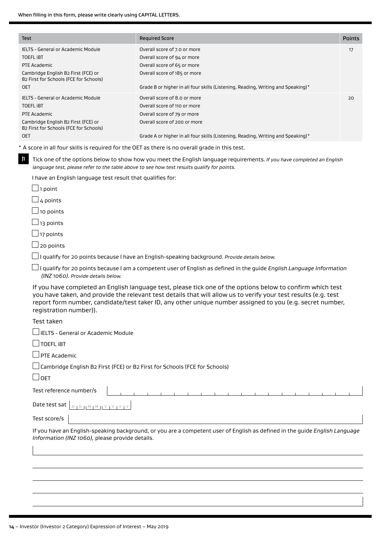| Test                                                                                                                                                                         | <b>Required Score</b>                                                                                                                                                                                                                                                                                                                      | <b>Points</b> |
|------------------------------------------------------------------------------------------------------------------------------------------------------------------------------|--------------------------------------------------------------------------------------------------------------------------------------------------------------------------------------------------------------------------------------------------------------------------------------------------------------------------------------------|---------------|
| IELTS - General or Academic Module<br><b>TOEFL IBT</b><br><b>PTE Academic</b><br>Cambridge English B2 First (FCE) or<br>B2 First for Schools (FCE for Schools)<br><b>OET</b> | Overall score of 7.0 or more<br>Overall score of 94 or more<br>Overall score of 65 or more<br>Overall score of 185 or more<br>Grade B or higher in all four skills (Listening, Reading, Writing and Speaking)*                                                                                                                             | 17            |
| IELTS - General or Academic Module<br><b>TOEFL IBT</b><br>PTE Academic<br>Cambridge English B2 First (FCE) or<br>B2 First for Schools (FCE for Schools)<br><b>OET</b>        | Overall score of 8.0 or more<br>Overall score of 110 or more<br>Overall score of 79 or more<br>Overall score of 200 or more<br>Grade A or higher in all four skills (Listening, Reading, Writing and Speaking)*                                                                                                                            | 20            |
|                                                                                                                                                                              | * A score in all four skills is required for the OET as there is no overall grade in this test.                                                                                                                                                                                                                                            |               |
| $\mathbf{h}$                                                                                                                                                                 | Tick one of the options below to show how you meet the English language requirements. If you have completed an English<br>language test, please refer to the table above to see how test results qualify for points.                                                                                                                       |               |
| I have an English language test result that qualifies for:                                                                                                                   |                                                                                                                                                                                                                                                                                                                                            |               |
| $\Box$ 1 point                                                                                                                                                               |                                                                                                                                                                                                                                                                                                                                            |               |
| $\Box$ 4 points                                                                                                                                                              |                                                                                                                                                                                                                                                                                                                                            |               |
| $\Box$ 10 points                                                                                                                                                             |                                                                                                                                                                                                                                                                                                                                            |               |
| $\Box$ 13 points                                                                                                                                                             |                                                                                                                                                                                                                                                                                                                                            |               |
| $\Box$ 17 points                                                                                                                                                             |                                                                                                                                                                                                                                                                                                                                            |               |
| 20 points                                                                                                                                                                    |                                                                                                                                                                                                                                                                                                                                            |               |
|                                                                                                                                                                              | I qualify for 20 points because I have an English-speaking background. Provide details below.                                                                                                                                                                                                                                              |               |
| (INZ 1060). Provide details below.                                                                                                                                           | I qualify for 20 points because I am a competent user of English as defined in the guide English Language Information                                                                                                                                                                                                                      |               |
| registration number)).                                                                                                                                                       | If you have completed an English language test, please tick one of the options below to confirm which test<br>you have taken, and provide the relevant test details that will allow us to verify your test results (e.g. test<br>report form number, candidate/test taker ID, any other unique number assigned to you (e.g. secret number, |               |
| Test taken                                                                                                                                                                   |                                                                                                                                                                                                                                                                                                                                            |               |
| $\Box$ IELTS - General or Academic Module                                                                                                                                    |                                                                                                                                                                                                                                                                                                                                            |               |
| $\sf J$ TOEFL iBT                                                                                                                                                            |                                                                                                                                                                                                                                                                                                                                            |               |
| PTE Academic                                                                                                                                                                 |                                                                                                                                                                                                                                                                                                                                            |               |
| Cambridge English B2 First (FCE) or B2 First for Schools (FCE for Schools)                                                                                                   |                                                                                                                                                                                                                                                                                                                                            |               |
| $\lrcorner$ oet                                                                                                                                                              |                                                                                                                                                                                                                                                                                                                                            |               |
|                                                                                                                                                                              |                                                                                                                                                                                                                                                                                                                                            |               |
| Test reference number/s                                                                                                                                                      |                                                                                                                                                                                                                                                                                                                                            |               |
| Date test sat  <br>$D + D + M + M + Y + Y + Y + Y$                                                                                                                           |                                                                                                                                                                                                                                                                                                                                            |               |
|                                                                                                                                                                              |                                                                                                                                                                                                                                                                                                                                            |               |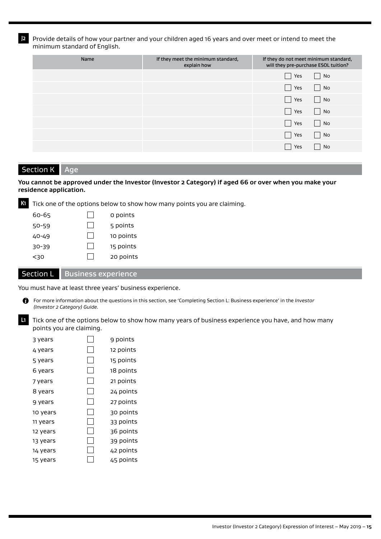**J2** Provide details of how your partner and your children aged 16 years and over meet or intend to meet the minimum standard of English.

| Name | If they meet the minimum standard,<br>explain how | If they do not meet minimum standard,<br>will they pre-purchase ESOL tuition? |
|------|---------------------------------------------------|-------------------------------------------------------------------------------|
|      |                                                   | $\vert$ No<br>Yes                                                             |
|      |                                                   | $\Box$ No<br>Yes<br>$\mathcal{L}$                                             |
|      |                                                   | $\Box$ No<br>Yes<br>$\Box$                                                    |
|      |                                                   | $\Box$ No<br>Yes                                                              |
|      |                                                   | $\vert$ No<br>Yes                                                             |
|      |                                                   | $\vert$ No<br>Yes                                                             |
|      |                                                   | No<br>Yes                                                                     |

#### Section K Age

#### **You cannot be approved under the Investor (Investor 2 Category) if aged 66 or over when you make your residence application.**



**K1** Tick one of the options below to show how many points you are claiming.

| 60-65 | 0 points  |
|-------|-----------|
| 50-59 | 5 points  |
| 40-49 | 10 points |
| 30-39 | 15 points |
| <30   | 20 points |
|       |           |

#### Section L | Business experience

You must have at least three years' business experience.

- $\bullet$ For more information about the questions in this section, see 'Completing Section L: Business experience' in the *Investor (Investor 2 Category) Guide.*
- **L1** Tick one of the options below to show how many years of business experience you have, and how many points you are claiming.

| 3 years  | 9 points  |
|----------|-----------|
| 4 years  | 12 points |
| 5 years  | 15 points |
| 6 years  | 18 points |
| 7 years  | 21 points |
| 8 years  | 24 points |
| 9 years  | 27 points |
| 10 years | 30 points |
| 11 years | 33 points |
| 12 years | 36 points |
| 13 years | 39 points |
| 14 years | 42 points |
| 15 years | 45 points |
|          |           |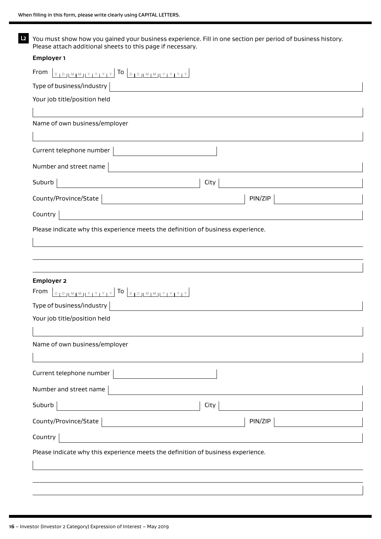**L2** You must show how you gained your business experience. Fill in one section per period of business history. Please attach additional sheets to this page if necessary.

| <b>Employer 1</b>                                                                |  |
|----------------------------------------------------------------------------------|--|
|                                                                                  |  |
| Type of business/industry                                                        |  |
| Your job title/position held                                                     |  |
|                                                                                  |  |
| Name of own business/employer                                                    |  |
| Current telephone number                                                         |  |
| Number and street name                                                           |  |
| Suburb<br>City                                                                   |  |
| County/Province/State<br>PIN/ZIP                                                 |  |
| Country                                                                          |  |
| Please indicate why this experience meets the definition of business experience. |  |
|                                                                                  |  |
|                                                                                  |  |
|                                                                                  |  |
| <b>Employer 2</b>                                                                |  |
| Type of business/industry                                                        |  |
| Your job title/position held                                                     |  |
|                                                                                  |  |
| Name of own business/employer                                                    |  |
|                                                                                  |  |
| Current telephone number                                                         |  |
| Number and street name                                                           |  |
| City<br>Suburb                                                                   |  |
| County/Province/State<br>PIN/ZIP                                                 |  |
| Country                                                                          |  |
| Please indicate why this experience meets the definition of business experience. |  |
|                                                                                  |  |
|                                                                                  |  |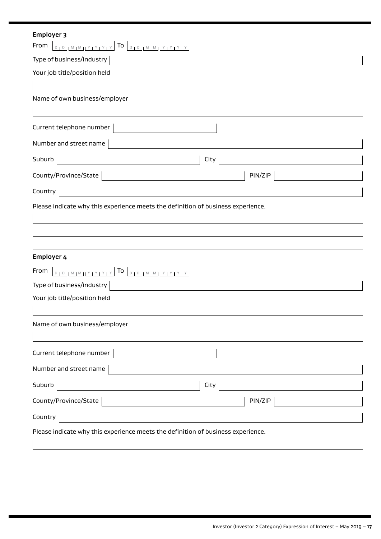| <b>Employer 3</b>                                                                |  |  |  |  |  |  |
|----------------------------------------------------------------------------------|--|--|--|--|--|--|
| From                                                                             |  |  |  |  |  |  |
| Type of business/industry                                                        |  |  |  |  |  |  |
| Your job title/position held                                                     |  |  |  |  |  |  |
|                                                                                  |  |  |  |  |  |  |
| Name of own business/employer                                                    |  |  |  |  |  |  |
|                                                                                  |  |  |  |  |  |  |
| Current telephone number                                                         |  |  |  |  |  |  |
| Number and street name                                                           |  |  |  |  |  |  |
| Suburb<br>City                                                                   |  |  |  |  |  |  |
| County/Province/State<br>PIN/ZIP                                                 |  |  |  |  |  |  |
| Country                                                                          |  |  |  |  |  |  |
| Please indicate why this experience meets the definition of business experience. |  |  |  |  |  |  |
|                                                                                  |  |  |  |  |  |  |
|                                                                                  |  |  |  |  |  |  |
|                                                                                  |  |  |  |  |  |  |
| Employer 4                                                                       |  |  |  |  |  |  |
|                                                                                  |  |  |  |  |  |  |
| Type of business/industry                                                        |  |  |  |  |  |  |
| Your job title/position held                                                     |  |  |  |  |  |  |
| Name of own business/employer                                                    |  |  |  |  |  |  |
|                                                                                  |  |  |  |  |  |  |
| Current telephone number                                                         |  |  |  |  |  |  |
| Number and street name                                                           |  |  |  |  |  |  |
|                                                                                  |  |  |  |  |  |  |
| City<br>Suburb                                                                   |  |  |  |  |  |  |
| County/Province/State<br>PIN/ZIP                                                 |  |  |  |  |  |  |
| Country                                                                          |  |  |  |  |  |  |
| Please indicate why this experience meets the definition of business experience. |  |  |  |  |  |  |
|                                                                                  |  |  |  |  |  |  |
|                                                                                  |  |  |  |  |  |  |
|                                                                                  |  |  |  |  |  |  |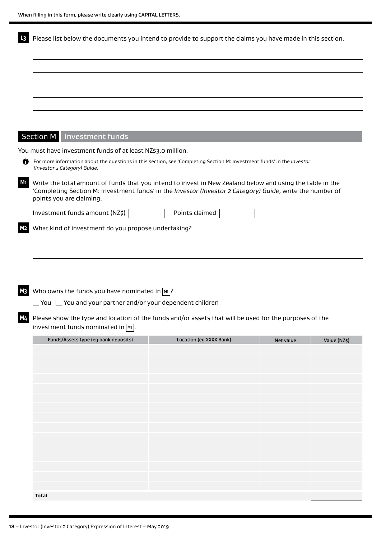| Section M   Investment funds<br>You must have investment funds of at least NZ\$3.0 million.<br>For more information about the questions in this section, see 'Completing Section M: Investment funds' in the Investor<br>(Investor 2 Category) Guide.<br><b>M1</b><br>Write the total amount of funds that you intend to invest in New Zealand below and using the table in the<br>'Completing Section M: Investment funds' in the Investor (Investor 2 Category) Guide, write the number of<br>points you are claiming.<br>Investment funds amount (NZ\$) $\vert$<br>Points claimed<br>What kind of investment do you propose undertaking?<br>Who owns the funds you have nominated in $\boxed{m}$ ?<br>$\Box$ You $\Box$ You and your partner and/or your dependent children<br>M4 Please show the type and location of the funds and/or assets that will be used for the purposes of the<br>investment funds nominated in Mil. | Funds/Assets type (eg bank deposits)<br>Location (eg XXXX Bank)<br>Net value | Please list below the documents you intend to provide to support the claims you have made in this section. |
|-----------------------------------------------------------------------------------------------------------------------------------------------------------------------------------------------------------------------------------------------------------------------------------------------------------------------------------------------------------------------------------------------------------------------------------------------------------------------------------------------------------------------------------------------------------------------------------------------------------------------------------------------------------------------------------------------------------------------------------------------------------------------------------------------------------------------------------------------------------------------------------------------------------------------------------|------------------------------------------------------------------------------|------------------------------------------------------------------------------------------------------------|
|                                                                                                                                                                                                                                                                                                                                                                                                                                                                                                                                                                                                                                                                                                                                                                                                                                                                                                                                   |                                                                              |                                                                                                            |
|                                                                                                                                                                                                                                                                                                                                                                                                                                                                                                                                                                                                                                                                                                                                                                                                                                                                                                                                   |                                                                              |                                                                                                            |
|                                                                                                                                                                                                                                                                                                                                                                                                                                                                                                                                                                                                                                                                                                                                                                                                                                                                                                                                   |                                                                              |                                                                                                            |
|                                                                                                                                                                                                                                                                                                                                                                                                                                                                                                                                                                                                                                                                                                                                                                                                                                                                                                                                   |                                                                              |                                                                                                            |
|                                                                                                                                                                                                                                                                                                                                                                                                                                                                                                                                                                                                                                                                                                                                                                                                                                                                                                                                   |                                                                              |                                                                                                            |
|                                                                                                                                                                                                                                                                                                                                                                                                                                                                                                                                                                                                                                                                                                                                                                                                                                                                                                                                   |                                                                              |                                                                                                            |
|                                                                                                                                                                                                                                                                                                                                                                                                                                                                                                                                                                                                                                                                                                                                                                                                                                                                                                                                   |                                                                              |                                                                                                            |
|                                                                                                                                                                                                                                                                                                                                                                                                                                                                                                                                                                                                                                                                                                                                                                                                                                                                                                                                   |                                                                              |                                                                                                            |
|                                                                                                                                                                                                                                                                                                                                                                                                                                                                                                                                                                                                                                                                                                                                                                                                                                                                                                                                   |                                                                              |                                                                                                            |
|                                                                                                                                                                                                                                                                                                                                                                                                                                                                                                                                                                                                                                                                                                                                                                                                                                                                                                                                   |                                                                              |                                                                                                            |
|                                                                                                                                                                                                                                                                                                                                                                                                                                                                                                                                                                                                                                                                                                                                                                                                                                                                                                                                   |                                                                              |                                                                                                            |
|                                                                                                                                                                                                                                                                                                                                                                                                                                                                                                                                                                                                                                                                                                                                                                                                                                                                                                                                   |                                                                              |                                                                                                            |
|                                                                                                                                                                                                                                                                                                                                                                                                                                                                                                                                                                                                                                                                                                                                                                                                                                                                                                                                   |                                                                              |                                                                                                            |
|                                                                                                                                                                                                                                                                                                                                                                                                                                                                                                                                                                                                                                                                                                                                                                                                                                                                                                                                   |                                                                              | Value (NZ\$)                                                                                               |
|                                                                                                                                                                                                                                                                                                                                                                                                                                                                                                                                                                                                                                                                                                                                                                                                                                                                                                                                   |                                                                              |                                                                                                            |
|                                                                                                                                                                                                                                                                                                                                                                                                                                                                                                                                                                                                                                                                                                                                                                                                                                                                                                                                   |                                                                              |                                                                                                            |
|                                                                                                                                                                                                                                                                                                                                                                                                                                                                                                                                                                                                                                                                                                                                                                                                                                                                                                                                   |                                                                              |                                                                                                            |
|                                                                                                                                                                                                                                                                                                                                                                                                                                                                                                                                                                                                                                                                                                                                                                                                                                                                                                                                   |                                                                              |                                                                                                            |
|                                                                                                                                                                                                                                                                                                                                                                                                                                                                                                                                                                                                                                                                                                                                                                                                                                                                                                                                   |                                                                              |                                                                                                            |
|                                                                                                                                                                                                                                                                                                                                                                                                                                                                                                                                                                                                                                                                                                                                                                                                                                                                                                                                   |                                                                              |                                                                                                            |
|                                                                                                                                                                                                                                                                                                                                                                                                                                                                                                                                                                                                                                                                                                                                                                                                                                                                                                                                   |                                                                              |                                                                                                            |
|                                                                                                                                                                                                                                                                                                                                                                                                                                                                                                                                                                                                                                                                                                                                                                                                                                                                                                                                   |                                                                              |                                                                                                            |
|                                                                                                                                                                                                                                                                                                                                                                                                                                                                                                                                                                                                                                                                                                                                                                                                                                                                                                                                   |                                                                              |                                                                                                            |
|                                                                                                                                                                                                                                                                                                                                                                                                                                                                                                                                                                                                                                                                                                                                                                                                                                                                                                                                   |                                                                              |                                                                                                            |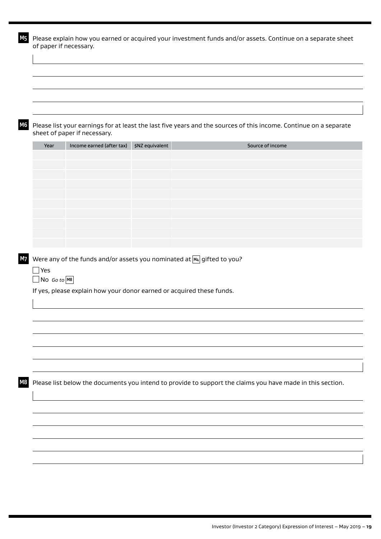|                    |                                                           |                                                                           | Please list your earnings for at least the last five years and the sources of this income. Continue on a separate |
|--------------------|-----------------------------------------------------------|---------------------------------------------------------------------------|-------------------------------------------------------------------------------------------------------------------|
| Year               | sheet of paper if necessary.<br>Income earned (after tax) | \$NZ equivalent                                                           | Source of income                                                                                                  |
|                    |                                                           |                                                                           |                                                                                                                   |
|                    |                                                           |                                                                           |                                                                                                                   |
|                    |                                                           |                                                                           |                                                                                                                   |
|                    |                                                           |                                                                           |                                                                                                                   |
|                    |                                                           |                                                                           |                                                                                                                   |
|                    |                                                           | Were any of the funds and/or assets you nominated at $M_4$ gifted to you? |                                                                                                                   |
| $\Box$ Yes         |                                                           |                                                                           |                                                                                                                   |
| $\Box$ No Go to M8 |                                                           | If yes, please explain how your donor earned or acquired these funds.     |                                                                                                                   |
|                    |                                                           |                                                                           |                                                                                                                   |
|                    |                                                           |                                                                           |                                                                                                                   |
|                    |                                                           |                                                                           |                                                                                                                   |
|                    |                                                           |                                                                           | Please list below the documents you intend to provide to support the claims you have made in this section.        |
|                    |                                                           |                                                                           |                                                                                                                   |
|                    |                                                           |                                                                           |                                                                                                                   |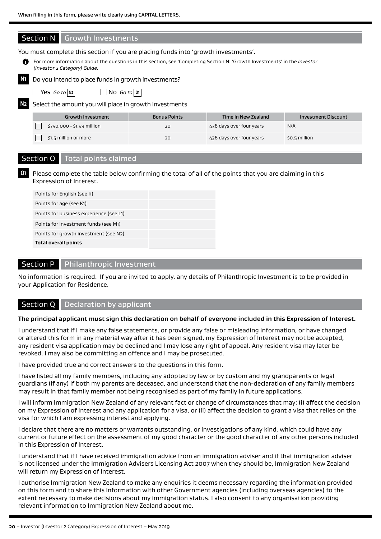

#### Section P Philanthropic Investment

No information is required. If you are invited to apply, any details of Philanthropic Investment is to be provided in your Application for Residence.

#### Section Q  $\parallel$  Declaration by applicant

#### **The principal applicant must sign this declaration on behalf of everyone included in this Expression of Interest.**

I understand that if I make any false statements, or provide any false or misleading information, or have changed or altered this form in any material way after it has been signed, my Expression of Interest may not be accepted, any resident visa application may be declined and I may lose any right of appeal. Any resident visa may later be revoked. I may also be committing an offence and I may be prosecuted.

I have provided true and correct answers to the questions in this form.

I have listed all my family members, including any adopted by law or by custom and my grandparents or legal guardians (if any) if both my parents are deceased, and understand that the non-declaration of any family members may result in that family member not being recognised as part of my family in future applications.

I will inform Immigration New Zealand of any relevant fact or change of circumstances that may: (i) affect the decision on my Expression of Interest and any application for a visa, or (ii) affect the decision to grant a visa that relies on the visa for which I am expressing interest and applying.

I declare that there are no matters or warrants outstanding, or investigations of any kind, which could have any current or future effect on the assessment of my good character or the good character of any other persons included in this Expression of Interest.

I understand that if I have received immigration advice from an immigration adviser and if that immigration adviser is not licensed under the Immigration Advisers Licensing Act 2007 when they should be, Immigration New Zealand will return my Expression of Interest.

I authorise Immigration New Zealand to make any enquiries it deems necessary regarding the information provided on this form and to share this information with other Government agencies (including overseas agencies) to the extent necessary to make decisions about my immigration status. I also consent to any organisation providing relevant information to Immigration New Zealand about me.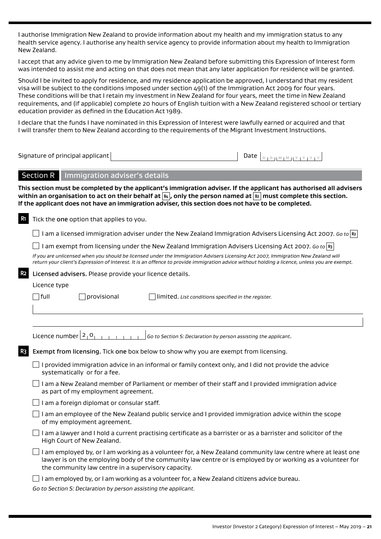I authorise Immigration New Zealand to provide information about my health and my immigration status to any health service agency. I authorise any health service agency to provide information about my health to Immigration New Zealand.

I accept that any advice given to me by Immigration New Zealand before submitting this Expression of Interest form was intended to assist me and acting on that does not mean that any later application for residence will be granted.

Should I be invited to apply for residence, and my residence application be approved, I understand that my resident visa will be subject to the conditions imposed under section 49(1) of the Immigration Act 2009 for four years. These conditions will be that I retain my investment in New Zealand for four years, meet the time in New Zealand requirements, and (if applicable) complete 20 hours of English tuition with a New Zealand registered school or tertiary education provider as defined in the Education Act 1989.

I declare that the funds I have nominated in this Expression of Interest were lawfully earned or acquired and that I will transfer them to New Zealand according to the requirements of the Migrant Investment Instructions.

Signature of principal applicant Date <sup>D</sup> <sup>D</sup> <sup>M</sup> <sup>M</sup> <sup>Y</sup> <sup>Y</sup> <sup>Y</sup> <sup>Y</sup>

#### Section R Immigration adviser's details

**This section must be completed by the applicant's immigration adviser. If the applicant has authorised all advisers within an organisation to act on their behalf at B4 , only the person named at B2 must complete this section. If the applicant does not have an immigration adviser, this section does not have to be completed.**

| R1             | Tick the one option that applies to you.                                                                                                                                                                                                                                           |  |  |  |  |  |  |  |
|----------------|------------------------------------------------------------------------------------------------------------------------------------------------------------------------------------------------------------------------------------------------------------------------------------|--|--|--|--|--|--|--|
|                | I am a licensed immigration adviser under the New Zealand Immigration Advisers Licensing Act 2007. Go to R2                                                                                                                                                                        |  |  |  |  |  |  |  |
|                | I am exempt from licensing under the New Zealand Immigration Advisers Licensing Act 2007. Go to $\left  \mathbf{R} \right $                                                                                                                                                        |  |  |  |  |  |  |  |
|                | If you are unlicensed when you should be licensed under the Immigration Advisers Licensing Act 2007, Immigration New Zealand will<br>return your client's Expression of Interest. It is an offence to provide immigration advice without holding a licence, unless you are exempt. |  |  |  |  |  |  |  |
| R <sub>2</sub> | Licensed advisers. Please provide your licence details.                                                                                                                                                                                                                            |  |  |  |  |  |  |  |
|                | Licence type                                                                                                                                                                                                                                                                       |  |  |  |  |  |  |  |
|                | $\sqcap$ full<br>provisional<br>limited. List conditions specified in the register.                                                                                                                                                                                                |  |  |  |  |  |  |  |
|                |                                                                                                                                                                                                                                                                                    |  |  |  |  |  |  |  |
|                |                                                                                                                                                                                                                                                                                    |  |  |  |  |  |  |  |
|                | Licence number $2_1 0_1$<br>Go to Section S: Declaration by person assisting the applicant.                                                                                                                                                                                        |  |  |  |  |  |  |  |
| R3             | Exempt from licensing. Tick one box below to show why you are exempt from licensing.                                                                                                                                                                                               |  |  |  |  |  |  |  |
|                | $\Box$ I provided immigration advice in an informal or family context only, and I did not provide the advice<br>systematically or for a fee.                                                                                                                                       |  |  |  |  |  |  |  |
|                | I am a New Zealand member of Parliament or member of their staff and I provided immigration advice<br>as part of my employment agreement.                                                                                                                                          |  |  |  |  |  |  |  |
|                | I am a foreign diplomat or consular staff.                                                                                                                                                                                                                                         |  |  |  |  |  |  |  |
|                | I am an employee of the New Zealand public service and I provided immigration advice within the scope<br>of my employment agreement.                                                                                                                                               |  |  |  |  |  |  |  |
|                | I am a lawyer and I hold a current practising certificate as a barrister or as a barrister and solicitor of the<br>High Court of New Zealand.                                                                                                                                      |  |  |  |  |  |  |  |
|                | I am employed by, or I am working as a volunteer for, a New Zealand community law centre where at least one<br>lawyer is on the employing body of the community law centre or is employed by or working as a volunteer for<br>the community law centre in a supervisory capacity.  |  |  |  |  |  |  |  |
|                | I am employed by, or I am working as a volunteer for, a New Zealand citizens advice bureau.                                                                                                                                                                                        |  |  |  |  |  |  |  |

*Go to Section S: Declaration by person assisting the applicant.*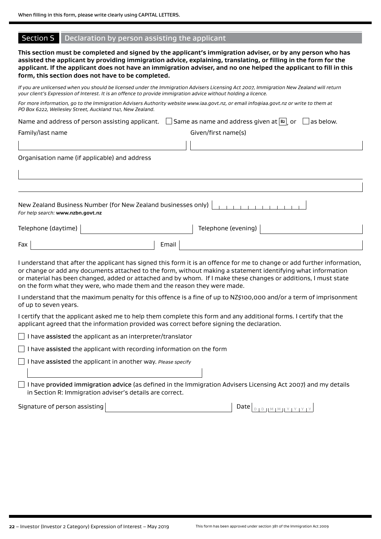#### Section S Declaration by person assisting the applicant

**This section must be completed and signed by the applicant's immigration adviser, or by any person who has assisted the applicant by providing immigration advice, explaining, translating, or filling in the form for the applicant. If the applicant does not have an immigration adviser, and no one helped the applicant to fill in this form, this section does not have to be completed.**

*If you are unlicensed when you should be licensed under the Immigration Advisers Licensing Act 2007, Immigration New Zealand will return your client's Expression of Interest. It is an offence to provide immigration advice without holding a licence.*

*For more information, go to the Immigration Advisers Authority website www.iaa.govt.nz, or email info@iaa.govt.nz or write to them at PO Box 6222, Wellesley Street, Auckland 1141, New Zealand.*

Name and address of person assisting applicant.  $\Box$  Same as name and address given at  $\Box$ , or  $\Box$  as below. Family/last name Given/first name(s)

Organisation name (if applicable) and address

| For help search: www.nzbn.govt.nz |  |  |  |  |  |  |
|-----------------------------------|--|--|--|--|--|--|

| Telephone (daytime) $ $ |       | Telephone (evening) $_1$ |  |
|-------------------------|-------|--------------------------|--|
| Fax                     | Email |                          |  |

I understand that after the applicant has signed this form it is an offence for me to change or add further information, or change or add any documents attached to the form, without making a statement identifying what information or material has been changed, added or attached and by whom. If I make these changes or additions, I must state on the form what they were, who made them and the reason they were made.

I understand that the maximum penalty for this offence is a fine of up to NZ\$100,000 and/or a term of imprisonment of up to seven years.

I certify that the applicant asked me to help them complete this form and any additional forms. I certify that the applicant agreed that the information provided was correct before signing the declaration.

 $\Box$  I have assisted the applicant as an interpreter/translator

 $\Box$  I have assisted the applicant with recording information on the form

I have assisted the applicant in another way. *Please specify*

 $\Box$  I have provided immigration advice (as defined in the Immigration Advisers Licensing Act 2007) and my details in Section R: Immigration adviser's details are correct.

Signature of person assisting Date <sup>D</sup> <sup>D</sup> <sup>M</sup> <sup>M</sup> <sup>Y</sup> <sup>Y</sup> <sup>Y</sup> <sup>Y</sup>

**22** – Investor (Investor 2 Category) Expression of Interest – May 2019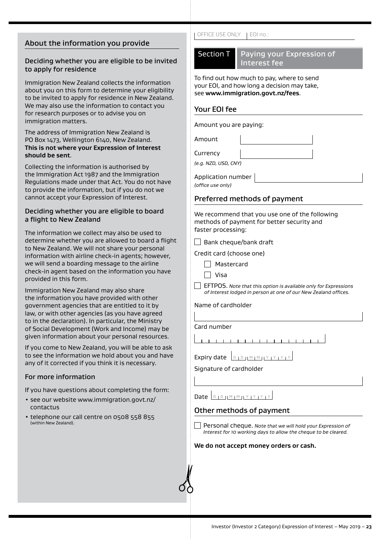## About the information you provide

#### Deciding whether you are eligible to be invited to apply for residence

Immigration New Zealand collects the information about you on this form to determine your eligibility to be invited to apply for residence in New Zealand. We may also use the information to contact you for research purposes or to advise you on immigration matters.

#### The address of Immigration New Zealand is PO Box 1473, Wellington 6140, New Zealand. **This is not where your Expression of Interest should be sent**.

Collecting the information is authorised by the Immigration Act 1987 and the Immigration Regulations made under that Act. You do not have to provide the information, but if you do not we cannot accept your Expression of Interest.

#### Deciding whether you are eligible to board a flight to New Zealand

The information we collect may also be used to determine whether you are allowed to board a flight to New Zealand. We will not share your personal information with airline check-in agents; however, we will send a boarding message to the airline check-in agent based on the information you have provided in this form.

Immigration New Zealand may also share the information you have provided with other government agencies that are entitled to it by law, or with other agencies (as you have agreed to in the declaration). In particular, the Ministry of Social Development (Work and Income) may be given information about your personal resources.

If you come to New Zealand, you will be able to ask to see the information we hold about you and have any of it corrected if you think it is necessary.

#### For more information

If you have questions about completing the form:

- see our website www.immigration.govt.nz/ contactus
- telephone our call centre on 0508 558 855 (within New Zealand).

#### OFFICE USE ONLY | EOI no.:

# Section T Paying your Expression of Interest fee

To find out how much to pay, where to send your EOI, and how long a decision may take, see **www.immigration.govt.nz/fees**.

#### Your EOI fee

Amount you are paying:

Amount

**Currency** 

*(e.g. NZD, USD, CNY)*

Application number

*(office use only)*

#### Preferred methods of payment

We recommend that you use one of the following methods of payment for better security and faster processing:

 $\Box$  Bank cheque/bank draft

Credit card (choose one)

- Mastercard
- Visa

EFTPOS. *Note that this option is available only for Expressions of Interest lodged in person at one of our New Zealand offices.*

Name of cardholder

Card number

<u> 1 | 1 | 1 | 1 | 1 | 1 | 1 | 1</u>  $1 - 1$ 

Signature of cardholder

# Date <sup>D</sup> <sup>D</sup> <sup>M</sup> <sup>M</sup> <sup>Y</sup> <sup>Y</sup> <sup>Y</sup> <sup>Y</sup>

### Other methods of payment

Personal cheque. *Note that we will hold your Expression of Interest for 10 working days to allow the cheque to be cleared.*

#### **We do not accept money orders or cash.**